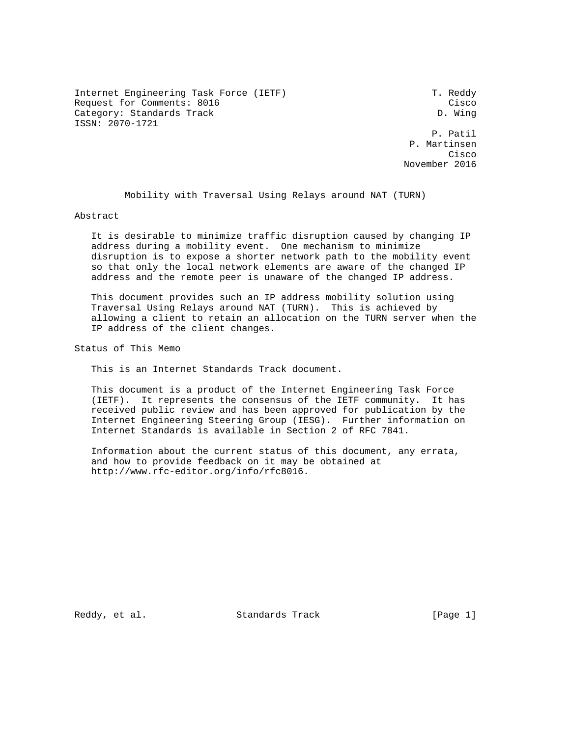Internet Engineering Task Force (IETF) T. Reddy Request for Comments: 8016 Cisco Category: Standards Track developed and the D. Wing ISSN: 2070-1721

 P. Patil P. Martinsen **Cisco de la contrata de la contrata de la contrata de la contrata de la contrata de la contrata de la contrat** November 2016

Mobility with Traversal Using Relays around NAT (TURN)

Abstract

 It is desirable to minimize traffic disruption caused by changing IP address during a mobility event. One mechanism to minimize disruption is to expose a shorter network path to the mobility event so that only the local network elements are aware of the changed IP address and the remote peer is unaware of the changed IP address.

 This document provides such an IP address mobility solution using Traversal Using Relays around NAT (TURN). This is achieved by allowing a client to retain an allocation on the TURN server when the IP address of the client changes.

Status of This Memo

This is an Internet Standards Track document.

 This document is a product of the Internet Engineering Task Force (IETF). It represents the consensus of the IETF community. It has received public review and has been approved for publication by the Internet Engineering Steering Group (IESG). Further information on Internet Standards is available in Section 2 of RFC 7841.

 Information about the current status of this document, any errata, and how to provide feedback on it may be obtained at http://www.rfc-editor.org/info/rfc8016.

Reddy, et al. Standards Track [Page 1]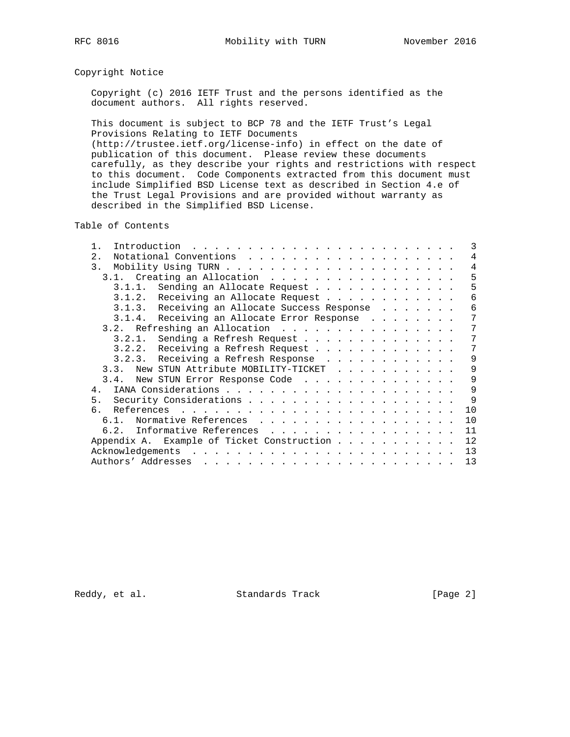# Copyright Notice

 Copyright (c) 2016 IETF Trust and the persons identified as the document authors. All rights reserved.

 This document is subject to BCP 78 and the IETF Trust's Legal Provisions Relating to IETF Documents (http://trustee.ietf.org/license-info) in effect on the date of publication of this document. Please review these documents carefully, as they describe your rights and restrictions with respect to this document. Code Components extracted from this document must include Simplified BSD License text as described in Section 4.e of the Trust Legal Provisions and are provided without warranty as described in the Simplified BSD License.

Table of Contents

|    |                                                          | 3 |
|----|----------------------------------------------------------|---|
| 2. |                                                          | 4 |
|    | 3.                                                       | 4 |
|    | 3.1. Creating an Allocation                              | 5 |
|    | 3.1.1. Sending an Allocate Request                       | 5 |
|    | 3.1.2. Receiving an Allocate Request                     | 6 |
|    | 3.1.3. Receiving an Allocate Success Response            | 6 |
|    | 3.1.4. Receiving an Allocate Error Response              | 7 |
|    | 3.2. Refreshing an Allocation                            | 7 |
|    | 3.2.1. Sending a Refresh Request                         | 7 |
|    | 3.2.2. Receiving a Refresh Request                       | 7 |
|    | 3.2.3. Receiving a Refresh Response                      | 9 |
|    | New STUN Attribute MOBILITY-TICKET<br>3.3.               | 9 |
|    | 3.4. New STUN Error Response Code                        | 9 |
|    |                                                          | 9 |
|    | 5.                                                       | 9 |
|    | 10<br>б.                                                 |   |
|    | 10<br>Normative References<br>6.1.                       |   |
|    | 11<br>6.2. Informative References                        |   |
|    | 12<br>Appendix A. Example of Ticket Construction $\dots$ |   |
|    | 13                                                       |   |
|    | 13                                                       |   |

Reddy, et al. Standards Track [Page 2]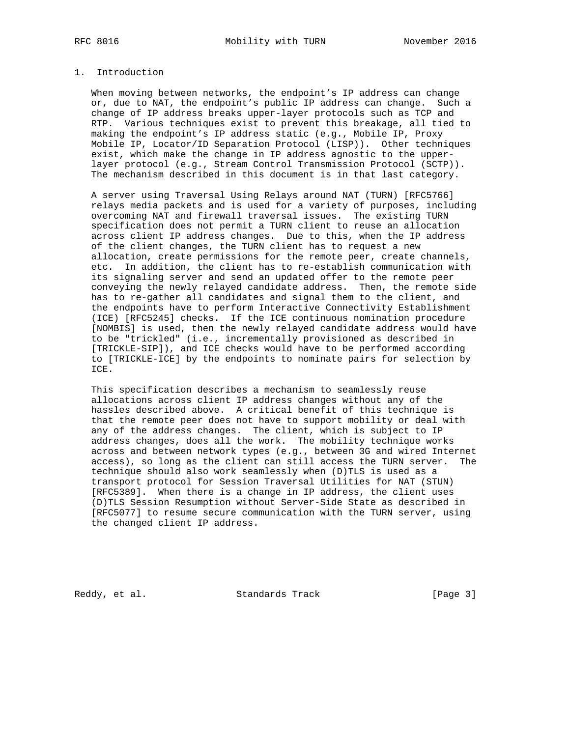## 1. Introduction

 When moving between networks, the endpoint's IP address can change or, due to NAT, the endpoint's public IP address can change. Such a change of IP address breaks upper-layer protocols such as TCP and RTP. Various techniques exist to prevent this breakage, all tied to making the endpoint's IP address static (e.g., Mobile IP, Proxy Mobile IP, Locator/ID Separation Protocol (LISP)). Other techniques exist, which make the change in IP address agnostic to the upper layer protocol (e.g., Stream Control Transmission Protocol (SCTP)). The mechanism described in this document is in that last category.

 A server using Traversal Using Relays around NAT (TURN) [RFC5766] relays media packets and is used for a variety of purposes, including overcoming NAT and firewall traversal issues. The existing TURN specification does not permit a TURN client to reuse an allocation across client IP address changes. Due to this, when the IP address of the client changes, the TURN client has to request a new allocation, create permissions for the remote peer, create channels, etc. In addition, the client has to re-establish communication with its signaling server and send an updated offer to the remote peer conveying the newly relayed candidate address. Then, the remote side has to re-gather all candidates and signal them to the client, and the endpoints have to perform Interactive Connectivity Establishment (ICE) [RFC5245] checks. If the ICE continuous nomination procedure [NOMBIS] is used, then the newly relayed candidate address would have to be "trickled" (i.e., incrementally provisioned as described in [TRICKLE-SIP]), and ICE checks would have to be performed according to [TRICKLE-ICE] by the endpoints to nominate pairs for selection by ICE.

 This specification describes a mechanism to seamlessly reuse allocations across client IP address changes without any of the hassles described above. A critical benefit of this technique is that the remote peer does not have to support mobility or deal with any of the address changes. The client, which is subject to IP address changes, does all the work. The mobility technique works across and between network types (e.g., between 3G and wired Internet access), so long as the client can still access the TURN server. The technique should also work seamlessly when (D)TLS is used as a transport protocol for Session Traversal Utilities for NAT (STUN) [RFC5389]. When there is a change in IP address, the client uses (D)TLS Session Resumption without Server-Side State as described in [RFC5077] to resume secure communication with the TURN server, using the changed client IP address.

Reddy, et al. Standards Track [Page 3]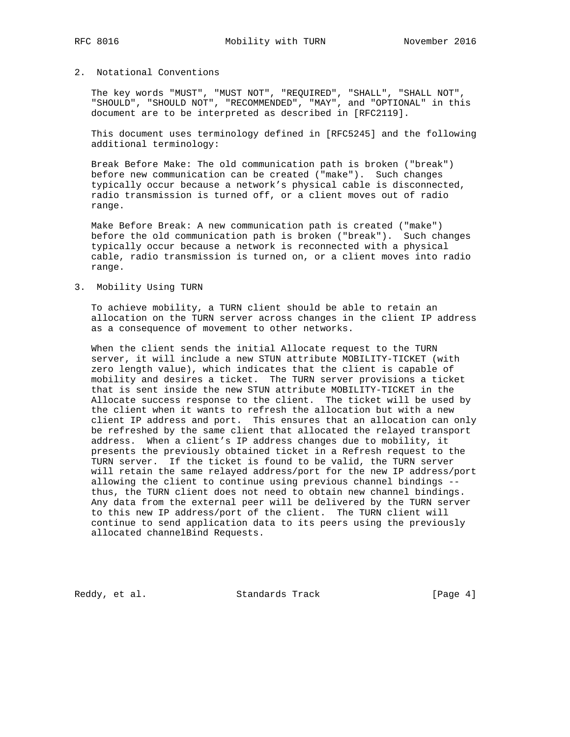## 2. Notational Conventions

 The key words "MUST", "MUST NOT", "REQUIRED", "SHALL", "SHALL NOT", "SHOULD", "SHOULD NOT", "RECOMMENDED", "MAY", and "OPTIONAL" in this document are to be interpreted as described in [RFC2119].

 This document uses terminology defined in [RFC5245] and the following additional terminology:

 Break Before Make: The old communication path is broken ("break") before new communication can be created ("make"). Such changes typically occur because a network's physical cable is disconnected, radio transmission is turned off, or a client moves out of radio range.

 Make Before Break: A new communication path is created ("make") before the old communication path is broken ("break"). Such changes typically occur because a network is reconnected with a physical cable, radio transmission is turned on, or a client moves into radio range.

#### 3. Mobility Using TURN

 To achieve mobility, a TURN client should be able to retain an allocation on the TURN server across changes in the client IP address as a consequence of movement to other networks.

 When the client sends the initial Allocate request to the TURN server, it will include a new STUN attribute MOBILITY-TICKET (with zero length value), which indicates that the client is capable of mobility and desires a ticket. The TURN server provisions a ticket that is sent inside the new STUN attribute MOBILITY-TICKET in the Allocate success response to the client. The ticket will be used by the client when it wants to refresh the allocation but with a new client IP address and port. This ensures that an allocation can only be refreshed by the same client that allocated the relayed transport address. When a client's IP address changes due to mobility, it presents the previously obtained ticket in a Refresh request to the TURN server. If the ticket is found to be valid, the TURN server will retain the same relayed address/port for the new IP address/port allowing the client to continue using previous channel bindings - thus, the TURN client does not need to obtain new channel bindings. Any data from the external peer will be delivered by the TURN server to this new IP address/port of the client. The TURN client will continue to send application data to its peers using the previously allocated channelBind Requests.

Reddy, et al. Standards Track [Page 4]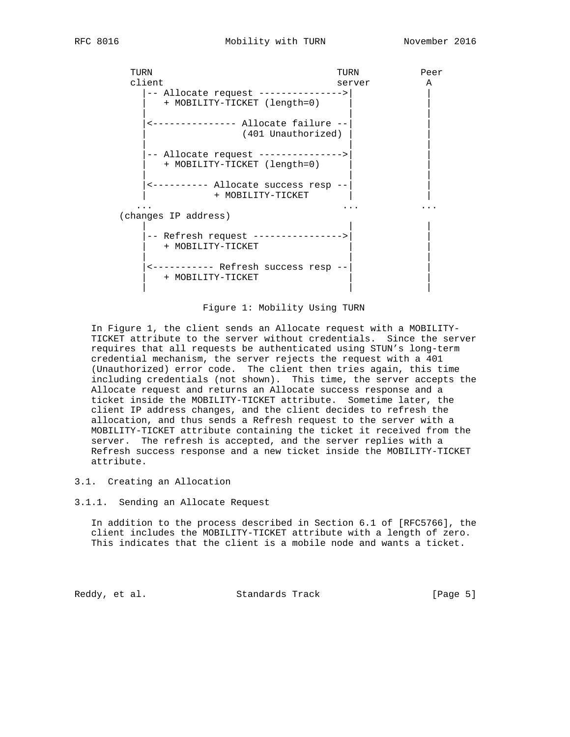| TURN                 |                                      | TURN   | Peer |  |
|----------------------|--------------------------------------|--------|------|--|
|                      | client                               | server | A    |  |
|                      | -- Allocate request ---------------> |        |      |  |
|                      | + MOBILITY-TICKET (length=0)         |        |      |  |
|                      | ------------ Allocate failure --     |        |      |  |
|                      | (401 Unauthorized)                   |        |      |  |
|                      |                                      |        |      |  |
|                      | -- Allocate request --------         |        |      |  |
|                      | + MOBILITY-TICKET (length=0)         |        |      |  |
|                      |                                      |        |      |  |
|                      | <---------- Allocate success resp -- |        |      |  |
|                      | + MOBILITY-TICKET                    |        |      |  |
|                      |                                      |        |      |  |
| (changes IP address) |                                      |        |      |  |
|                      |                                      |        |      |  |
|                      | -- Refresh request ----------------> |        |      |  |
|                      | + MOBILITY-TICKET                    |        |      |  |
|                      |                                      |        |      |  |
|                      | + MOBILITY-TICKET                    |        |      |  |
|                      |                                      |        |      |  |
|                      |                                      |        |      |  |

### Figure 1: Mobility Using TURN

 In Figure 1, the client sends an Allocate request with a MOBILITY- TICKET attribute to the server without credentials. Since the server requires that all requests be authenticated using STUN's long-term credential mechanism, the server rejects the request with a 401 (Unauthorized) error code. The client then tries again, this time including credentials (not shown). This time, the server accepts the Allocate request and returns an Allocate success response and a ticket inside the MOBILITY-TICKET attribute. Sometime later, the client IP address changes, and the client decides to refresh the allocation, and thus sends a Refresh request to the server with a MOBILITY-TICKET attribute containing the ticket it received from the server. The refresh is accepted, and the server replies with a Refresh success response and a new ticket inside the MOBILITY-TICKET attribute.

## 3.1. Creating an Allocation

### 3.1.1. Sending an Allocate Request

 In addition to the process described in Section 6.1 of [RFC5766], the client includes the MOBILITY-TICKET attribute with a length of zero. This indicates that the client is a mobile node and wants a ticket.

Reddy, et al. Standards Track [Page 5]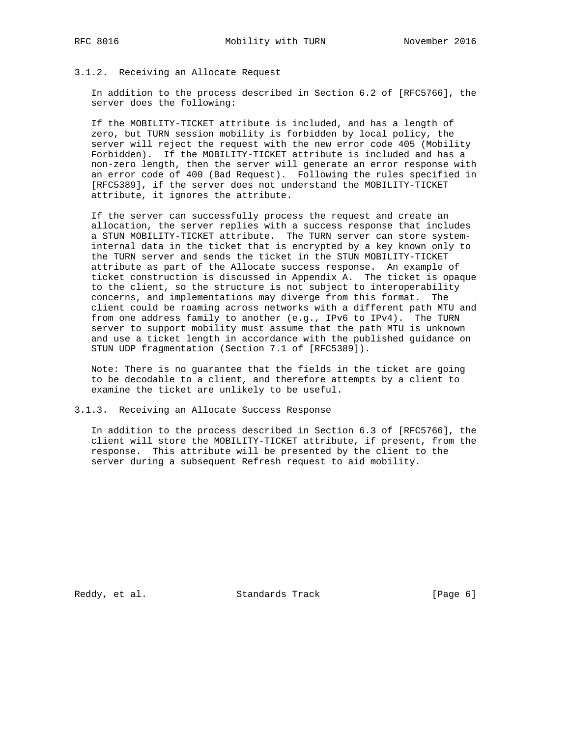#### 3.1.2. Receiving an Allocate Request

 In addition to the process described in Section 6.2 of [RFC5766], the server does the following:

 If the MOBILITY-TICKET attribute is included, and has a length of zero, but TURN session mobility is forbidden by local policy, the server will reject the request with the new error code 405 (Mobility Forbidden). If the MOBILITY-TICKET attribute is included and has a non-zero length, then the server will generate an error response with an error code of 400 (Bad Request). Following the rules specified in [RFC5389], if the server does not understand the MOBILITY-TICKET attribute, it ignores the attribute.

 If the server can successfully process the request and create an allocation, the server replies with a success response that includes a STUN MOBILITY-TICKET attribute. The TURN server can store system internal data in the ticket that is encrypted by a key known only to the TURN server and sends the ticket in the STUN MOBILITY-TICKET attribute as part of the Allocate success response. An example of ticket construction is discussed in Appendix A. The ticket is opaque to the client, so the structure is not subject to interoperability concerns, and implementations may diverge from this format. The client could be roaming across networks with a different path MTU and from one address family to another (e.g., IPv6 to IPv4). The TURN server to support mobility must assume that the path MTU is unknown and use a ticket length in accordance with the published guidance on STUN UDP fragmentation (Section 7.1 of [RFC5389]).

 Note: There is no guarantee that the fields in the ticket are going to be decodable to a client, and therefore attempts by a client to examine the ticket are unlikely to be useful.

3.1.3. Receiving an Allocate Success Response

 In addition to the process described in Section 6.3 of [RFC5766], the client will store the MOBILITY-TICKET attribute, if present, from the response. This attribute will be presented by the client to the server during a subsequent Refresh request to aid mobility.

Reddy, et al. Standards Track [Page 6]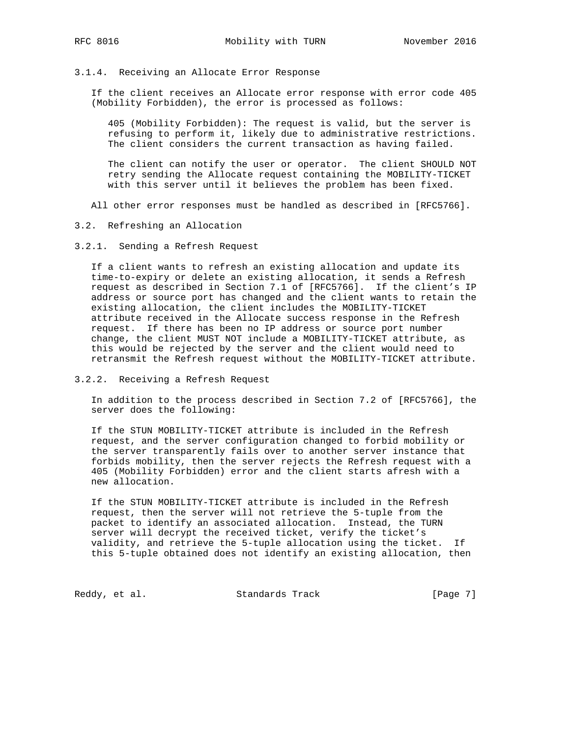#### 3.1.4. Receiving an Allocate Error Response

 If the client receives an Allocate error response with error code 405 (Mobility Forbidden), the error is processed as follows:

 405 (Mobility Forbidden): The request is valid, but the server is refusing to perform it, likely due to administrative restrictions. The client considers the current transaction as having failed.

 The client can notify the user or operator. The client SHOULD NOT retry sending the Allocate request containing the MOBILITY-TICKET with this server until it believes the problem has been fixed.

All other error responses must be handled as described in [RFC5766].

3.2. Refreshing an Allocation

3.2.1. Sending a Refresh Request

 If a client wants to refresh an existing allocation and update its time-to-expiry or delete an existing allocation, it sends a Refresh request as described in Section 7.1 of [RFC5766]. If the client's IP address or source port has changed and the client wants to retain the existing allocation, the client includes the MOBILITY-TICKET attribute received in the Allocate success response in the Refresh request. If there has been no IP address or source port number change, the client MUST NOT include a MOBILITY-TICKET attribute, as this would be rejected by the server and the client would need to retransmit the Refresh request without the MOBILITY-TICKET attribute.

3.2.2. Receiving a Refresh Request

 In addition to the process described in Section 7.2 of [RFC5766], the server does the following:

 If the STUN MOBILITY-TICKET attribute is included in the Refresh request, and the server configuration changed to forbid mobility or the server transparently fails over to another server instance that forbids mobility, then the server rejects the Refresh request with a 405 (Mobility Forbidden) error and the client starts afresh with a new allocation.

 If the STUN MOBILITY-TICKET attribute is included in the Refresh request, then the server will not retrieve the 5-tuple from the packet to identify an associated allocation. Instead, the TURN server will decrypt the received ticket, verify the ticket's validity, and retrieve the 5-tuple allocation using the ticket. If this 5-tuple obtained does not identify an existing allocation, then

Reddy, et al. Standards Track [Page 7]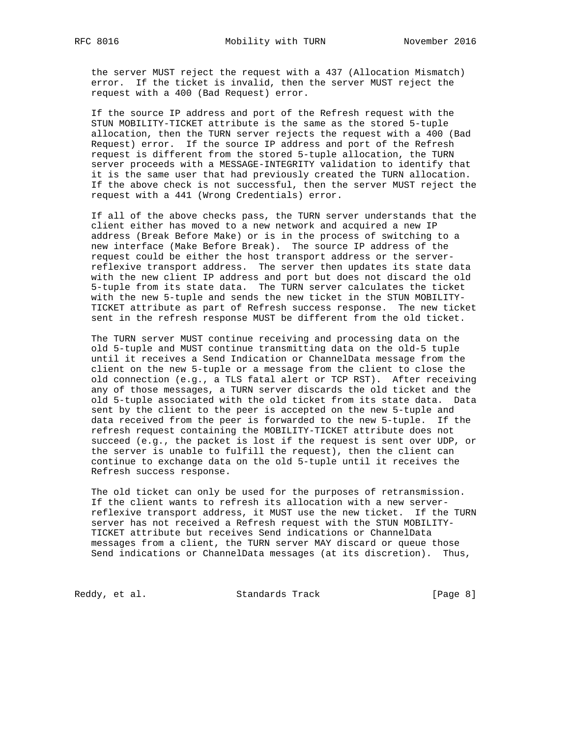the server MUST reject the request with a 437 (Allocation Mismatch) error. If the ticket is invalid, then the server MUST reject the request with a 400 (Bad Request) error.

 If the source IP address and port of the Refresh request with the STUN MOBILITY-TICKET attribute is the same as the stored 5-tuple allocation, then the TURN server rejects the request with a 400 (Bad Request) error. If the source IP address and port of the Refresh request is different from the stored 5-tuple allocation, the TURN server proceeds with a MESSAGE-INTEGRITY validation to identify that it is the same user that had previously created the TURN allocation. If the above check is not successful, then the server MUST reject the request with a 441 (Wrong Credentials) error.

 If all of the above checks pass, the TURN server understands that the client either has moved to a new network and acquired a new IP address (Break Before Make) or is in the process of switching to a new interface (Make Before Break). The source IP address of the request could be either the host transport address or the server reflexive transport address. The server then updates its state data with the new client IP address and port but does not discard the old 5-tuple from its state data. The TURN server calculates the ticket with the new 5-tuple and sends the new ticket in the STUN MOBILITY- TICKET attribute as part of Refresh success response. The new ticket sent in the refresh response MUST be different from the old ticket.

 The TURN server MUST continue receiving and processing data on the old 5-tuple and MUST continue transmitting data on the old-5 tuple until it receives a Send Indication or ChannelData message from the client on the new 5-tuple or a message from the client to close the old connection (e.g., a TLS fatal alert or TCP RST). After receiving any of those messages, a TURN server discards the old ticket and the old 5-tuple associated with the old ticket from its state data. Data sent by the client to the peer is accepted on the new 5-tuple and data received from the peer is forwarded to the new 5-tuple. If the refresh request containing the MOBILITY-TICKET attribute does not succeed (e.g., the packet is lost if the request is sent over UDP, or the server is unable to fulfill the request), then the client can continue to exchange data on the old 5-tuple until it receives the Refresh success response.

 The old ticket can only be used for the purposes of retransmission. If the client wants to refresh its allocation with a new server reflexive transport address, it MUST use the new ticket. If the TURN server has not received a Refresh request with the STUN MOBILITY- TICKET attribute but receives Send indications or ChannelData messages from a client, the TURN server MAY discard or queue those Send indications or ChannelData messages (at its discretion). Thus,

Reddy, et al. Standards Track [Page 8]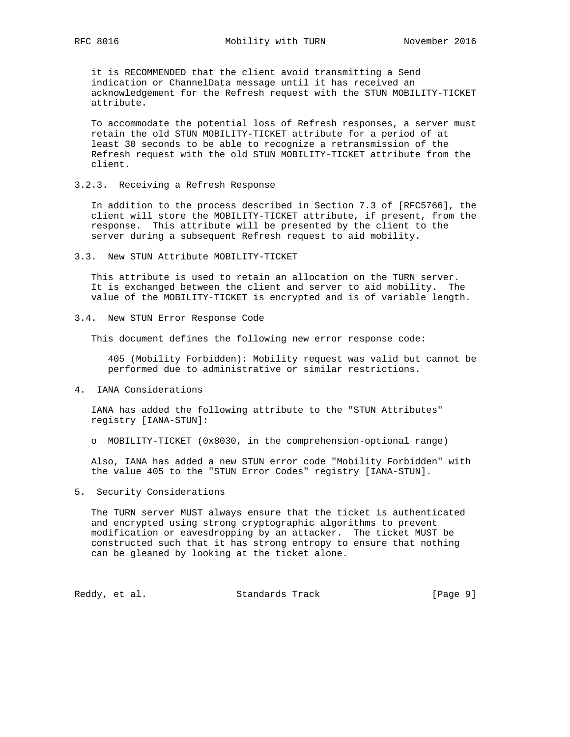it is RECOMMENDED that the client avoid transmitting a Send indication or ChannelData message until it has received an acknowledgement for the Refresh request with the STUN MOBILITY-TICKET attribute.

 To accommodate the potential loss of Refresh responses, a server must retain the old STUN MOBILITY-TICKET attribute for a period of at least 30 seconds to be able to recognize a retransmission of the Refresh request with the old STUN MOBILITY-TICKET attribute from the client.

3.2.3. Receiving a Refresh Response

 In addition to the process described in Section 7.3 of [RFC5766], the client will store the MOBILITY-TICKET attribute, if present, from the response. This attribute will be presented by the client to the server during a subsequent Refresh request to aid mobility.

3.3. New STUN Attribute MOBILITY-TICKET

 This attribute is used to retain an allocation on the TURN server. It is exchanged between the client and server to aid mobility. The value of the MOBILITY-TICKET is encrypted and is of variable length.

3.4. New STUN Error Response Code

This document defines the following new error response code:

 405 (Mobility Forbidden): Mobility request was valid but cannot be performed due to administrative or similar restrictions.

4. IANA Considerations

 IANA has added the following attribute to the "STUN Attributes" registry [IANA-STUN]:

o MOBILITY-TICKET (0x8030, in the comprehension-optional range)

 Also, IANA has added a new STUN error code "Mobility Forbidden" with the value 405 to the "STUN Error Codes" registry [IANA-STUN].

5. Security Considerations

 The TURN server MUST always ensure that the ticket is authenticated and encrypted using strong cryptographic algorithms to prevent modification or eavesdropping by an attacker. The ticket MUST be constructed such that it has strong entropy to ensure that nothing can be gleaned by looking at the ticket alone.

Reddy, et al. Standards Track [Page 9]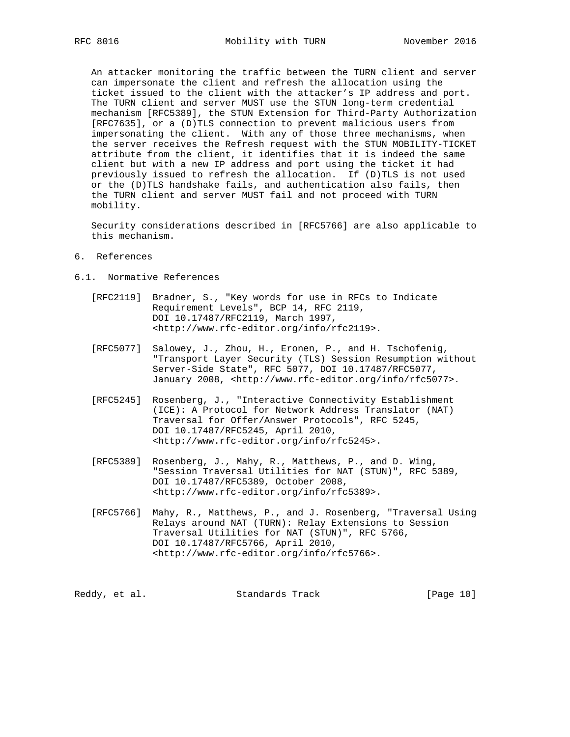An attacker monitoring the traffic between the TURN client and server can impersonate the client and refresh the allocation using the ticket issued to the client with the attacker's IP address and port. The TURN client and server MUST use the STUN long-term credential mechanism [RFC5389], the STUN Extension for Third-Party Authorization [RFC7635], or a (D)TLS connection to prevent malicious users from impersonating the client. With any of those three mechanisms, when the server receives the Refresh request with the STUN MOBILITY-TICKET attribute from the client, it identifies that it is indeed the same client but with a new IP address and port using the ticket it had previously issued to refresh the allocation. If (D)TLS is not used or the (D)TLS handshake fails, and authentication also fails, then the TURN client and server MUST fail and not proceed with TURN mobility.

 Security considerations described in [RFC5766] are also applicable to this mechanism.

- 6. References
- 6.1. Normative References
	- [RFC2119] Bradner, S., "Key words for use in RFCs to Indicate Requirement Levels", BCP 14, RFC 2119, DOI 10.17487/RFC2119, March 1997, <http://www.rfc-editor.org/info/rfc2119>.
	- [RFC5077] Salowey, J., Zhou, H., Eronen, P., and H. Tschofenig, "Transport Layer Security (TLS) Session Resumption without Server-Side State", RFC 5077, DOI 10.17487/RFC5077, January 2008, <http://www.rfc-editor.org/info/rfc5077>.
	- [RFC5245] Rosenberg, J., "Interactive Connectivity Establishment (ICE): A Protocol for Network Address Translator (NAT) Traversal for Offer/Answer Protocols", RFC 5245, DOI 10.17487/RFC5245, April 2010, <http://www.rfc-editor.org/info/rfc5245>.
	- [RFC5389] Rosenberg, J., Mahy, R., Matthews, P., and D. Wing, "Session Traversal Utilities for NAT (STUN)", RFC 5389, DOI 10.17487/RFC5389, October 2008, <http://www.rfc-editor.org/info/rfc5389>.
	- [RFC5766] Mahy, R., Matthews, P., and J. Rosenberg, "Traversal Using Relays around NAT (TURN): Relay Extensions to Session Traversal Utilities for NAT (STUN)", RFC 5766, DOI 10.17487/RFC5766, April 2010, <http://www.rfc-editor.org/info/rfc5766>.

Reddy, et al. Standards Track [Page 10]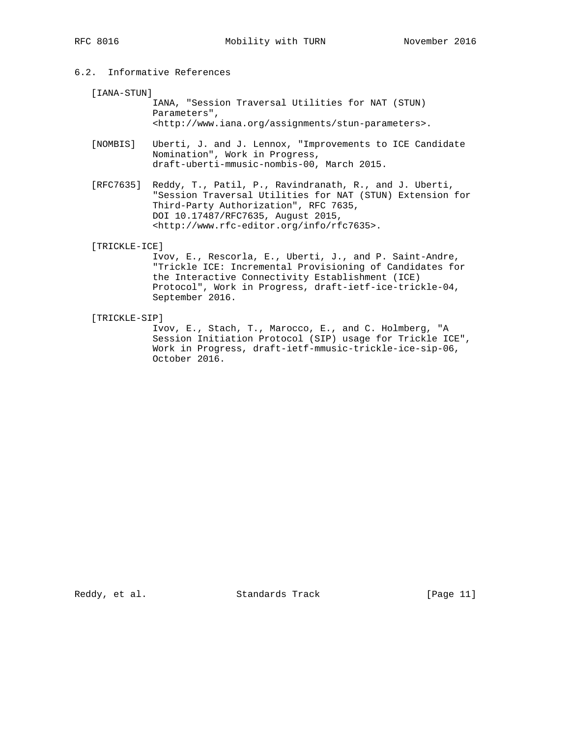# 6.2. Informative References

[IANA-STUN]

 IANA, "Session Traversal Utilities for NAT (STUN) Parameters", <http://www.iana.org/assignments/stun-parameters>.

- [NOMBIS] Uberti, J. and J. Lennox, "Improvements to ICE Candidate Nomination", Work in Progress, draft-uberti-mmusic-nombis-00, March 2015.
- [RFC7635] Reddy, T., Patil, P., Ravindranath, R., and J. Uberti, "Session Traversal Utilities for NAT (STUN) Extension for Third-Party Authorization", RFC 7635, DOI 10.17487/RFC7635, August 2015, <http://www.rfc-editor.org/info/rfc7635>.

[TRICKLE-ICE]

 Ivov, E., Rescorla, E., Uberti, J., and P. Saint-Andre, "Trickle ICE: Incremental Provisioning of Candidates for the Interactive Connectivity Establishment (ICE) Protocol", Work in Progress, draft-ietf-ice-trickle-04, September 2016.

[TRICKLE-SIP]

 Ivov, E., Stach, T., Marocco, E., and C. Holmberg, "A Session Initiation Protocol (SIP) usage for Trickle ICE", Work in Progress, draft-ietf-mmusic-trickle-ice-sip-06, October 2016.

Reddy, et al. Standards Track [Page 11]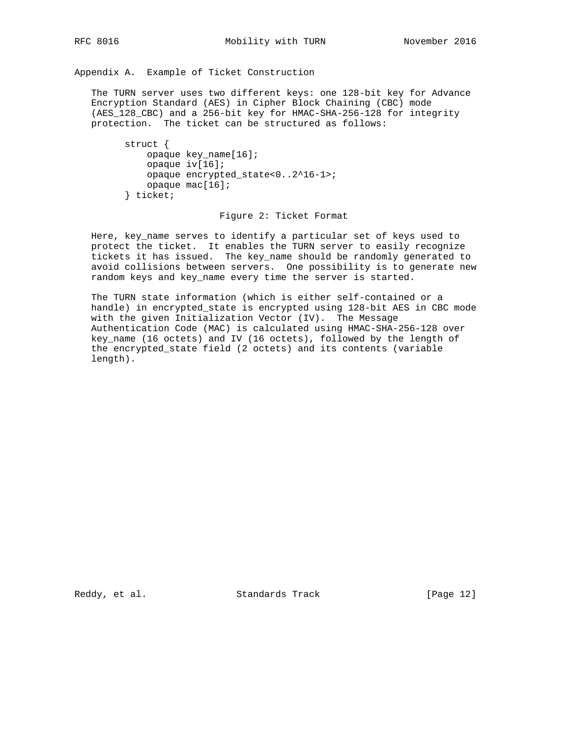Appendix A. Example of Ticket Construction

 The TURN server uses two different keys: one 128-bit key for Advance Encryption Standard (AES) in Cipher Block Chaining (CBC) mode (AES\_128\_CBC) and a 256-bit key for HMAC-SHA-256-128 for integrity protection. The ticket can be structured as follows:

```
 struct {
    opaque key_name[16];
    opaque iv[16];
    opaque encrypted_state<0..2^16-1>;
    opaque mac[16];
} ticket;
```
#### Figure 2: Ticket Format

 Here, key\_name serves to identify a particular set of keys used to protect the ticket. It enables the TURN server to easily recognize tickets it has issued. The key\_name should be randomly generated to avoid collisions between servers. One possibility is to generate new random keys and key\_name every time the server is started.

 The TURN state information (which is either self-contained or a handle) in encrypted\_state is encrypted using 128-bit AES in CBC mode with the given Initialization Vector (IV). The Message Authentication Code (MAC) is calculated using HMAC-SHA-256-128 over key\_name (16 octets) and IV (16 octets), followed by the length of the encrypted\_state field (2 octets) and its contents (variable length).

Reddy, et al. Standards Track [Page 12]